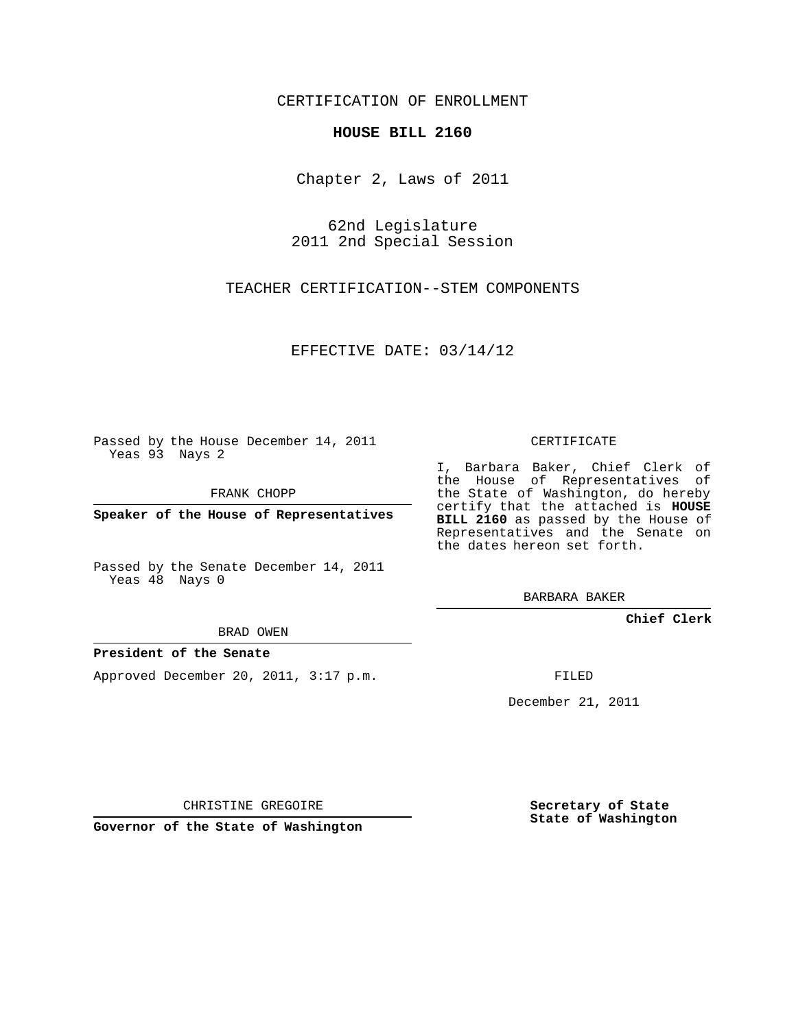### CERTIFICATION OF ENROLLMENT

#### **HOUSE BILL 2160**

Chapter 2, Laws of 2011

62nd Legislature 2011 2nd Special Session

TEACHER CERTIFICATION--STEM COMPONENTS

EFFECTIVE DATE: 03/14/12

Passed by the House December 14, 2011 Yeas 93 Nays 2

FRANK CHOPP

**Speaker of the House of Representatives**

Passed by the Senate December 14, 2011 Yeas 48 Nays 0

BRAD OWEN

#### **President of the Senate**

Approved December 20, 2011, 3:17 p.m.

CERTIFICATE

I, Barbara Baker, Chief Clerk of the House of Representatives of the State of Washington, do hereby certify that the attached is **HOUSE BILL 2160** as passed by the House of Representatives and the Senate on the dates hereon set forth.

BARBARA BAKER

**Chief Clerk**

FILED

December 21, 2011

CHRISTINE GREGOIRE

**Governor of the State of Washington**

**Secretary of State State of Washington**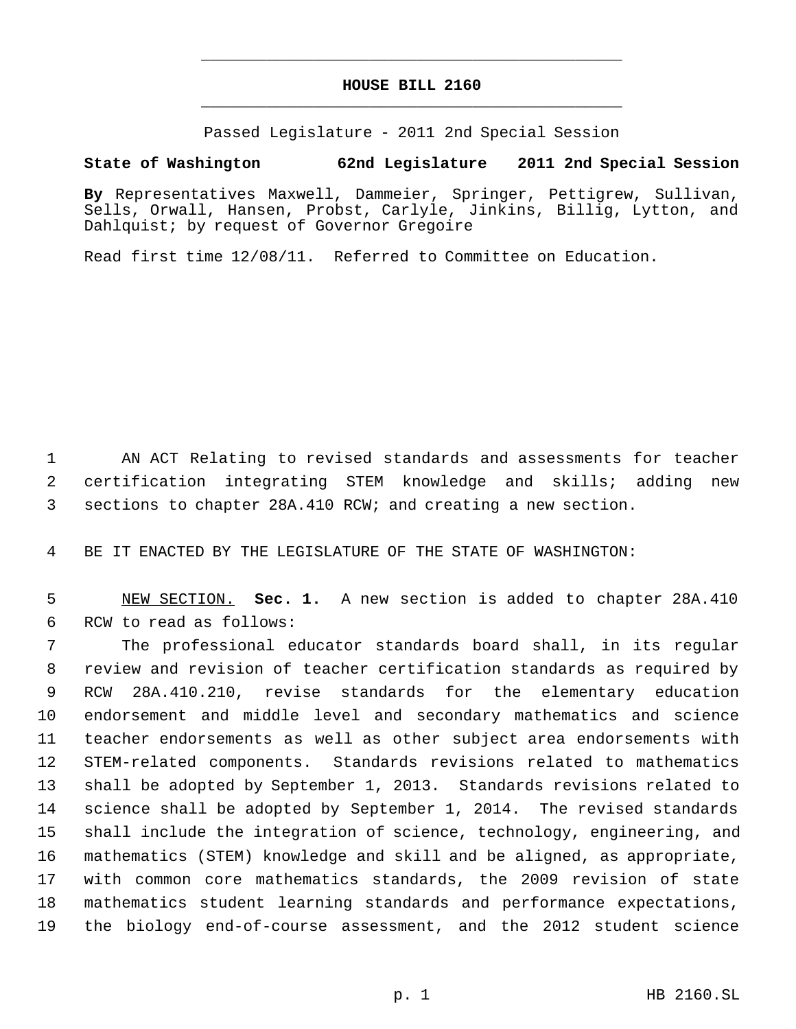# **HOUSE BILL 2160** \_\_\_\_\_\_\_\_\_\_\_\_\_\_\_\_\_\_\_\_\_\_\_\_\_\_\_\_\_\_\_\_\_\_\_\_\_\_\_\_\_\_\_\_\_

\_\_\_\_\_\_\_\_\_\_\_\_\_\_\_\_\_\_\_\_\_\_\_\_\_\_\_\_\_\_\_\_\_\_\_\_\_\_\_\_\_\_\_\_\_

Passed Legislature - 2011 2nd Special Session

## **State of Washington 62nd Legislature 2011 2nd Special Session**

**By** Representatives Maxwell, Dammeier, Springer, Pettigrew, Sullivan, Sells, Orwall, Hansen, Probst, Carlyle, Jinkins, Billig, Lytton, and Dahlquist; by request of Governor Gregoire

Read first time 12/08/11. Referred to Committee on Education.

 AN ACT Relating to revised standards and assessments for teacher certification integrating STEM knowledge and skills; adding new sections to chapter 28A.410 RCW; and creating a new section.

BE IT ENACTED BY THE LEGISLATURE OF THE STATE OF WASHINGTON:

 NEW SECTION. **Sec. 1.** A new section is added to chapter 28A.410 RCW to read as follows:

 The professional educator standards board shall, in its regular review and revision of teacher certification standards as required by RCW 28A.410.210, revise standards for the elementary education endorsement and middle level and secondary mathematics and science teacher endorsements as well as other subject area endorsements with STEM-related components. Standards revisions related to mathematics shall be adopted by September 1, 2013. Standards revisions related to science shall be adopted by September 1, 2014. The revised standards shall include the integration of science, technology, engineering, and mathematics (STEM) knowledge and skill and be aligned, as appropriate, with common core mathematics standards, the 2009 revision of state mathematics student learning standards and performance expectations, the biology end-of-course assessment, and the 2012 student science